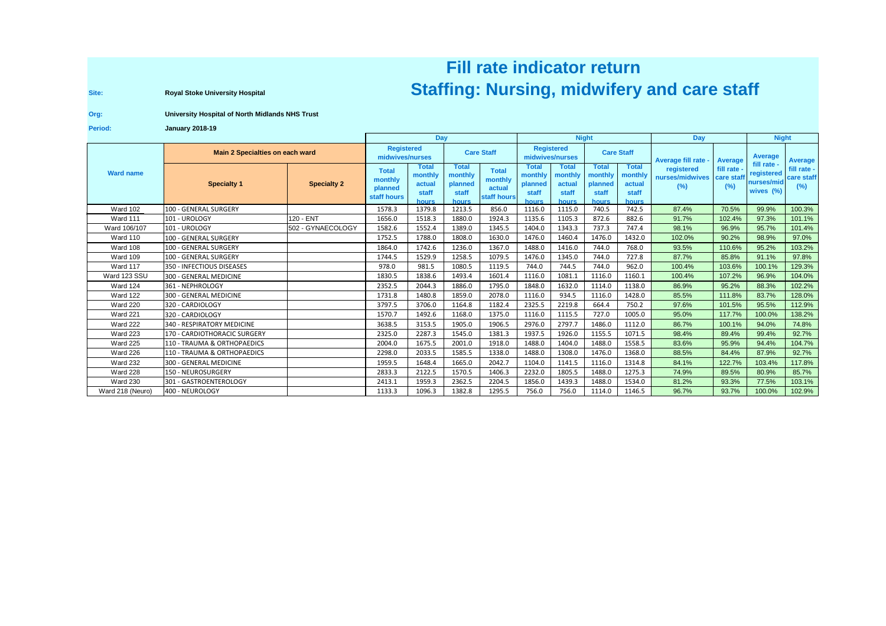## **Fill rate indicator returnRoyal Stoke University Hospital Region Concepts and Care Staff** (Nursing, midwifery and care staff

**Site:**

## **Org:University Hospital of North Midlands NHS Trust**

**Period:January 2018-19**

|                  |                                 |                    | <b>Day</b>                                        |                                                     |                                               |                                                  | <b>Night</b>                                         |                                              |                                               |                                                     | Day                                            |                  | <b>Night</b>                          |                                  |
|------------------|---------------------------------|--------------------|---------------------------------------------------|-----------------------------------------------------|-----------------------------------------------|--------------------------------------------------|------------------------------------------------------|----------------------------------------------|-----------------------------------------------|-----------------------------------------------------|------------------------------------------------|------------------|---------------------------------------|----------------------------------|
| <b>Ward name</b> | Main 2 Specialties on each ward |                    | <b>Registered</b><br>midwives/nurses              |                                                     | <b>Care Staff</b>                             |                                                  | <b>Registered</b><br>midwives/nurses                 |                                              | <b>Care Staff</b>                             |                                                     | Average fill rate -                            | Average          | <b>Average</b><br>fill rate -         | <b>Average</b>                   |
|                  | <b>Specialty 1</b>              | <b>Specialty 2</b> | <b>Total</b><br>monthly<br>planned<br>staff hours | <b>Total</b><br>monthly<br>actual<br>staff<br>hours | Total<br>monthly<br>planned<br>staff<br>hours | <b>Total</b><br>monthly<br>actual<br>staff hours | <b>Total</b><br>monthly<br>planned<br>staff<br>hours | Total<br>monthly<br>actual<br>staff<br>hours | Total<br>monthly<br>planned<br>staff<br>hours | <b>Total</b><br>monthly<br>actual<br>staff<br>hours | registered<br>nurses/midwives care stat<br>(%) | fill rate<br>(%) | registered<br>nurses/mic<br>wives (%) | fill rate -<br>care staff<br>(%) |
| <b>Ward 102</b>  | 100 - GENERAL SURGERY           |                    | 1578.3                                            | 1379.8                                              | 1213.5                                        | 856.0                                            | 1116.0                                               | 1115.0                                       | 740.5                                         | 742.5                                               | 87.4%                                          | 70.5%            | 99.9%                                 | 100.3%                           |
| <b>Ward 111</b>  | 101 - UROLOGY                   | 120 - ENT          | 1656.0                                            | 1518.3                                              | 1880.0                                        | 1924.3                                           | 1135.6                                               | 1105.3                                       | 872.6                                         | 882.6                                               | 91.7%                                          | 102.4%           | 97.3%                                 | 101.1%                           |
| Ward 106/107     | 101 - UROLOGY                   | 502 - GYNAECOLOGY  | 1582.6                                            | 1552.4                                              | 1389.0                                        | 1345.5                                           | 1404.0                                               | 1343.3                                       | 737.3                                         | 747.4                                               | 98.1%                                          | 96.9%            | 95.7%                                 | 101.4%                           |
| Ward 110         | 100 - GENERAL SURGERY           |                    | 1752.5                                            | 1788.0                                              | 1808.0                                        | 1630.0                                           | 1476.0                                               | 1460.4                                       | 1476.0                                        | 1432.0                                              | 102.0%                                         | 90.2%            | 98.9%                                 | 97.0%                            |
| Ward 108         | 100 - GENERAL SURGERY           |                    | 1864.0                                            | 1742.6                                              | 1236.0                                        | 1367.0                                           | 1488.0                                               | 1416.0                                       | 744.0                                         | 768.0                                               | 93.5%                                          | 110.6%           | 95.2%                                 | 103.2%                           |
| <b>Ward 109</b>  | 100 - GENERAL SURGERY           |                    | 1744.5                                            | 1529.9                                              | 1258.5                                        | 1079.5                                           | 1476.0                                               | 1345.0                                       | 744.0                                         | 727.8                                               | 87.7%                                          | 85.8%            | 91.1%                                 | 97.8%                            |
| Ward 117         | 350 - INFECTIOUS DISEASES       |                    | 978.0                                             | 981.5                                               | 1080.5                                        | 1119.5                                           | 744.0                                                | 744.5                                        | 744.0                                         | 962.0                                               | 100.4%                                         | 103.6%           | 100.1%                                | 129.3%                           |
| Ward 123 SSU     | 300 - GENERAL MEDICINE          |                    | 1830.5                                            | 1838.6                                              | 1493.4                                        | 1601.4                                           | 1116.0                                               | 1081.1                                       | 1116.0                                        | 1160.1                                              | 100.4%                                         | 107.2%           | 96.9%                                 | 104.0%                           |
| Ward 124         | 361 - NEPHROLOGY                |                    | 2352.5                                            | 2044.3                                              | 1886.0                                        | 1795.0                                           | 1848.0                                               | 1632.0                                       | 1114.0                                        | 1138.0                                              | 86.9%                                          | 95.2%            | 88.3%                                 | 102.2%                           |
| <b>Ward 122</b>  | 300 - GENERAL MEDICINE          |                    | 1731.8                                            | 1480.8                                              | 1859.0                                        | 2078.0                                           | 1116.0                                               | 934.5                                        | 1116.0                                        | 1428.0                                              | 85.5%                                          | 111.8%           | 83.7%                                 | 128.0%                           |
| <b>Ward 220</b>  | 320 - CARDIOLOGY                |                    | 3797.5                                            | 3706.0                                              | 1164.8                                        | 1182.4                                           | 2325.5                                               | 2219.8                                       | 664.4                                         | 750.2                                               | 97.6%                                          | 101.5%           | 95.5%                                 | 112.9%                           |
| Ward 221         | 320 - CARDIOLOGY                |                    | 1570.7                                            | 1492.6                                              | 1168.0                                        | 1375.0                                           | 1116.0                                               | 1115.5                                       | 727.0                                         | 1005.0                                              | 95.0%                                          | 117.7%           | 100.0%                                | 138.2%                           |
| Ward 222         | 340 - RESPIRATORY MEDICINE      |                    | 3638.5                                            | 3153.5                                              | 1905.0                                        | 1906.5                                           | 2976.0                                               | 2797.7                                       | 1486.0                                        | 1112.0                                              | 86.7%                                          | 100.1%           | 94.0%                                 | 74.8%                            |
| <b>Ward 223</b>  | 170 - CARDIOTHORACIC SURGERY    |                    | 2325.0                                            | 2287.3                                              | 1545.0                                        | 1381.3                                           | 1937.5                                               | 1926.0                                       | 1155.5                                        | 1071.5                                              | 98.4%                                          | 89.4%            | 99.4%                                 | 92.7%                            |
| Ward 225         | 110 - TRAUMA & ORTHOPAEDICS     |                    | 2004.0                                            | 1675.5                                              | 2001.0                                        | 1918.0                                           | 1488.0                                               | 1404.0                                       | 1488.0                                        | 1558.5                                              | 83.6%                                          | 95.9%            | 94.4%                                 | 104.7%                           |
| Ward 226         | 110 - TRAUMA & ORTHOPAEDICS     |                    | 2298.0                                            | 2033.5                                              | 1585.5                                        | 1338.0                                           | 1488.0                                               | 1308.0                                       | 1476.0                                        | 1368.0                                              | 88.5%                                          | 84.4%            | 87.9%                                 | 92.7%                            |
| Ward 232         | 300 - GENERAL MEDICINE          |                    | 1959.5                                            | 1648.4                                              | 1665.0                                        | 2042.7                                           | 1104.0                                               | 1141.5                                       | 1116.0                                        | 1314.8                                              | 84.1%                                          | 122.7%           | 103.4%                                | 117.8%                           |
| Ward 228         | 150 - NEUROSURGERY              |                    | 2833.3                                            | 2122.5                                              | 1570.5                                        | 1406.3                                           | 2232.0                                               | 1805.5                                       | 1488.0                                        | 1275.3                                              | 74.9%                                          | 89.5%            | 80.9%                                 | 85.7%                            |
| <b>Ward 230</b>  | 301 - GASTROENTEROLOGY          |                    | 2413.1                                            | 1959.3                                              | 2362.5                                        | 2204.5                                           | 1856.0                                               | 1439.3                                       | 1488.0                                        | 1534.0                                              | 81.2%                                          | 93.3%            | 77.5%                                 | 103.1%                           |
| Ward 218 (Neuro) | 400 - NEUROLOGY                 |                    | 1133.3                                            | 1096.3                                              | 1382.8                                        | 1295.5                                           | 756.0                                                | 756.0                                        | 1114.0                                        | 1146.5                                              | 96.7%                                          | 93.7%            | 100.0%                                | 102.9%                           |